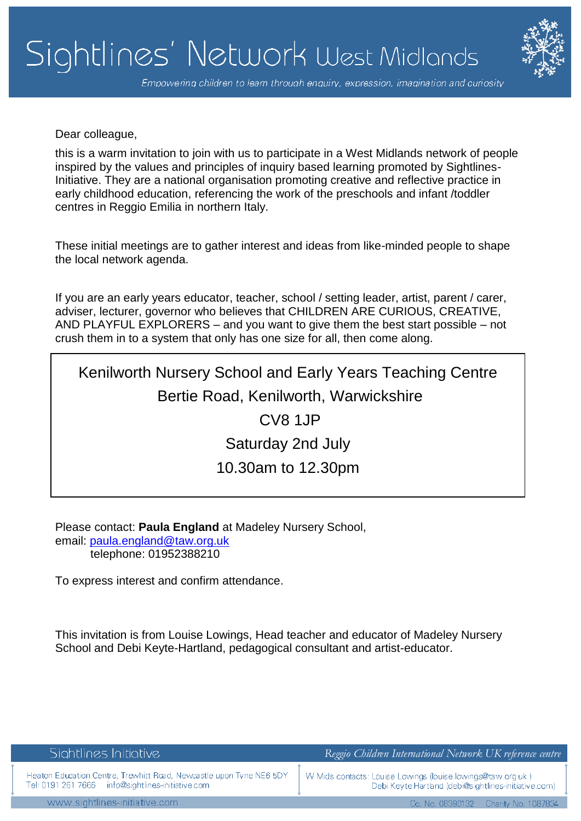

Empowering children to learn through enquiry, expression, imagination and curiosity

Dear colleague,

this is a warm invitation to join with us to participate in a West Midlands network of people inspired by the values and principles of inquiry based learning promoted by Sightlines-Initiative. They are a national organisation promoting creative and reflective practice in early childhood education, referencing the work of the preschools and infant /toddler centres in Reggio Emilia in northern Italy.

These initial meetings are to gather interest and ideas from like-minded people to shape the local network agenda.

If you are an early years educator, teacher, school / setting leader, artist, parent / carer, adviser, lecturer, governor who believes that CHILDREN ARE CURIOUS, CREATIVE, AND PLAYFUL EXPLORERS – and you want to give them the best start possible – not crush them in to a system that only has one size for all, then come along.

## Kenilworth Nursery School and Early Years Teaching Centre Bertie Road, Kenilworth, Warwickshire

CV8 1JP Saturday 2nd July

## 10.30am to 12.30pm

Please contact: **Paula England** at Madeley Nursery School, email: [paula.england@taw.org.uk](mailto:paula.england@taw.org.uk) telephone: 01952388210

To express interest and confirm attendance.

This invitation is from Louise Lowings, Head teacher and educator of Madeley Nursery School and Debi Keyte-Hartland, pedagogical consultant and artist-educator.

| Sightlines Initiative                                                                                                    | Reggio Children International Network UK reference centre                                                            |
|--------------------------------------------------------------------------------------------------------------------------|----------------------------------------------------------------------------------------------------------------------|
| Heaton Education Centre, Trewhitt Road, Newcastle upon Tyne NE6 5DY<br>Tel: 0191 261 7666 info@sightlines-initiative.com | W Mids contacts: Louise Lowings (louise lowings@taw.org.uk.)<br>Debi Keyte Hartland (debi@sightlines-initiative.com) |
| www.sightlines-initiative.com                                                                                            | Co. No. 08390132    Charity No. 1087834                                                                              |
|                                                                                                                          |                                                                                                                      |
|                                                                                                                          |                                                                                                                      |
|                                                                                                                          |                                                                                                                      |
|                                                                                                                          |                                                                                                                      |
|                                                                                                                          |                                                                                                                      |
|                                                                                                                          |                                                                                                                      |
|                                                                                                                          |                                                                                                                      |
|                                                                                                                          |                                                                                                                      |
|                                                                                                                          |                                                                                                                      |
|                                                                                                                          |                                                                                                                      |
|                                                                                                                          |                                                                                                                      |
|                                                                                                                          |                                                                                                                      |
|                                                                                                                          |                                                                                                                      |
|                                                                                                                          |                                                                                                                      |
|                                                                                                                          |                                                                                                                      |
|                                                                                                                          |                                                                                                                      |
|                                                                                                                          |                                                                                                                      |
|                                                                                                                          |                                                                                                                      |
|                                                                                                                          |                                                                                                                      |
|                                                                                                                          |                                                                                                                      |
|                                                                                                                          |                                                                                                                      |
|                                                                                                                          |                                                                                                                      |
|                                                                                                                          |                                                                                                                      |